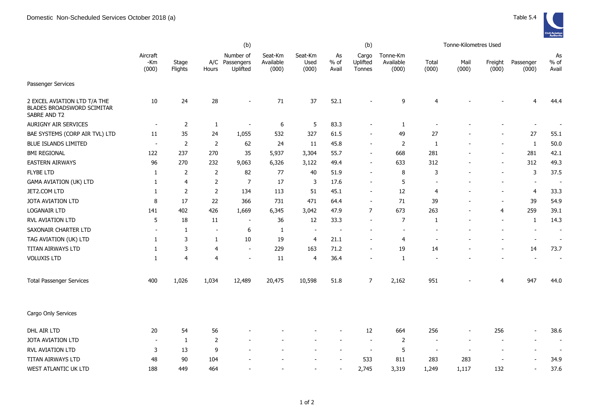

|                                                                            |                          |                  |                          | (b)                                     |                               |                          | (b)                      |                             |                                | Tonne-Kilometres Used    |               |                  |                          |                          |  |
|----------------------------------------------------------------------------|--------------------------|------------------|--------------------------|-----------------------------------------|-------------------------------|--------------------------|--------------------------|-----------------------------|--------------------------------|--------------------------|---------------|------------------|--------------------------|--------------------------|--|
|                                                                            | Aircraft<br>-Km<br>(000) | Stage<br>Flights | Hours                    | Number of<br>A/C Passengers<br>Uplifted | Seat-Km<br>Available<br>(000) | Seat-Km<br>Used<br>(000) | As<br>$%$ of<br>Avail    | Cargo<br>Uplifted<br>Tonnes | Tonne-Km<br>Available<br>(000) | Total<br>(000)           | Mail<br>(000) | Freight<br>(000) | Passenger<br>(000)       | As<br>$%$ of<br>Avail    |  |
| Passenger Services                                                         |                          |                  |                          |                                         |                               |                          |                          |                             |                                |                          |               |                  |                          |                          |  |
| 2 EXCEL AVIATION LTD T/A THE<br>BLADES BROADSWORD SCIMITAR<br>SABRE AND T2 | 10                       | 24               | 28                       |                                         | 71                            | 37                       | 52.1                     |                             | 9                              | 4                        |               |                  | $\overline{4}$           | 44.4                     |  |
| AURIGNY AIR SERVICES                                                       | $\overline{\phantom{a}}$ | $\overline{2}$   | $\mathbf{1}$             | $\overline{\phantom{a}}$                | 6                             | 5                        | 83.3                     |                             | $\mathbf{1}$                   |                          |               |                  | $\overline{a}$           |                          |  |
| BAE SYSTEMS (CORP AIR TVL) LTD                                             | 11                       | 35               | 24                       | 1,055                                   | 532                           | 327                      | 61.5                     |                             | 49                             | 27                       |               |                  | 27                       | 55.1                     |  |
| <b>BLUE ISLANDS LIMITED</b>                                                | $\overline{\phantom{a}}$ | $\overline{2}$   | $\overline{2}$           | 62                                      | 24                            | 11                       | 45.8                     | $\overline{\phantom{a}}$    | $\overline{2}$                 | 1                        |               |                  | $\mathbf{1}$             | $50.0$                   |  |
| <b>BMI REGIONAL</b>                                                        | 122                      | 237              | 270                      | 35                                      | 5,937                         | 3,304                    | 55.7                     | $\blacksquare$              | 668                            | 281                      |               |                  | 281                      | 42.1                     |  |
| <b>EASTERN AIRWAYS</b>                                                     | 96                       | 270              | 232                      | 9,063                                   | 6,326                         | 3,122                    | 49.4                     | $\sim$                      | 633                            | 312                      |               |                  | 312                      | 49.3                     |  |
| <b>FLYBE LTD</b>                                                           | 1                        | 2                | $\overline{2}$           | 82                                      | 77                            | 40                       | 51.9                     | $\overline{\phantom{a}}$    | 8                              | 3                        |               |                  | 3                        | 37.5                     |  |
| GAMA AVIATION (UK) LTD                                                     | 1                        | 4                | $\overline{2}$           | $\overline{7}$                          | 17                            | 3                        | 17.6                     |                             | 5                              |                          |               |                  | $\overline{\phantom{a}}$ | $\overline{\phantom{a}}$ |  |
| JET2.COM LTD                                                               | 1                        | $\overline{2}$   | $\overline{2}$           | 134                                     | 113                           | 51                       | 45.1                     |                             | 12                             | $\overline{4}$           |               |                  | 4                        | 33.3                     |  |
| JOTA AVIATION LTD                                                          | 8                        | 17               | 22                       | 366                                     | 731                           | 471                      | 64.4                     | $\overline{\phantom{a}}$    | 71                             | 39                       |               |                  | 39                       | 54.9                     |  |
| <b>LOGANAIR LTD</b>                                                        | 141                      | 402              | 426                      | 1,669                                   | 6,345                         | 3,042                    | 47.9                     | 7                           | 673                            | 263                      |               | 4                | 259                      | 39.1                     |  |
| RVL AVIATION LTD                                                           | 5                        | 18               | 11                       | $\overline{\phantom{a}}$                | 36                            | 12                       | 33.3                     | $\blacksquare$              | 7                              | 1                        |               |                  | $\mathbf{1}$             | 14.3                     |  |
| SAXONAIR CHARTER LTD                                                       | $\blacksquare$           | 1                | $\overline{\phantom{a}}$ | 6                                       | 1                             | $\overline{\phantom{a}}$ | $\overline{\phantom{a}}$ | $\blacksquare$              | $\overline{\phantom{a}}$       |                          |               |                  | $\overline{a}$           | $\overline{a}$           |  |
| TAG AVIATION (UK) LTD                                                      | 1                        | 3                | 1                        | 10                                      | 19                            | $\overline{4}$           | 21.1                     | $\blacksquare$              | $\overline{4}$                 |                          |               |                  | $\overline{\phantom{a}}$ | $\blacksquare$           |  |
| TITAN AIRWAYS LTD                                                          | 1                        | 3                | 4                        | $\overline{\phantom{a}}$                | 229                           | 163                      | 71.2                     |                             | 19                             | 14                       |               |                  | 14                       | 73.7                     |  |
| <b>VOLUXIS LTD</b>                                                         | 1                        | 4                | 4                        | $\blacksquare$                          | 11                            | $\overline{4}$           | 36.4                     | $\overline{\phantom{a}}$    | $\mathbf{1}$                   |                          |               |                  |                          |                          |  |
| <b>Total Passenger Services</b>                                            | 400                      | 1,026            | 1,034                    | 12,489                                  | 20,475                        | 10,598                   | 51.8                     | $\overline{7}$              | 2,162                          | 951                      |               | 4                | 947                      | 44.0                     |  |
| Cargo Only Services                                                        |                          |                  |                          |                                         |                               |                          |                          |                             |                                |                          |               |                  |                          |                          |  |
| DHL AIR LTD                                                                | 20                       | 54               | 56                       |                                         |                               |                          |                          | 12                          | 664                            | 256                      |               | 256              | $\overline{\phantom{a}}$ | 38.6                     |  |
| JOTA AVIATION LTD                                                          | $\overline{\phantom{a}}$ | 1                | $\overline{2}$           |                                         |                               |                          |                          | $\blacksquare$              | $\overline{2}$                 | $\overline{\phantom{a}}$ |               |                  | $\overline{\phantom{a}}$ | $\blacksquare$           |  |
| RVL AVIATION LTD                                                           | 3                        | 13               | 9                        |                                         |                               |                          |                          | $\overline{\phantom{a}}$    | 5                              | $\overline{\phantom{a}}$ |               |                  |                          | $\overline{\phantom{a}}$ |  |
| TITAN AIRWAYS LTD                                                          | 48                       | 90               | 104                      |                                         |                               |                          |                          | 533                         | 811                            | 283                      | 283           |                  |                          | 34.9                     |  |
| WEST ATLANTIC UK LTD                                                       | 188                      | 449              | 464                      |                                         |                               |                          |                          | 2,745                       | 3,319                          | 1,249                    | 1,117         | 132              | $\sim$                   | 37.6                     |  |